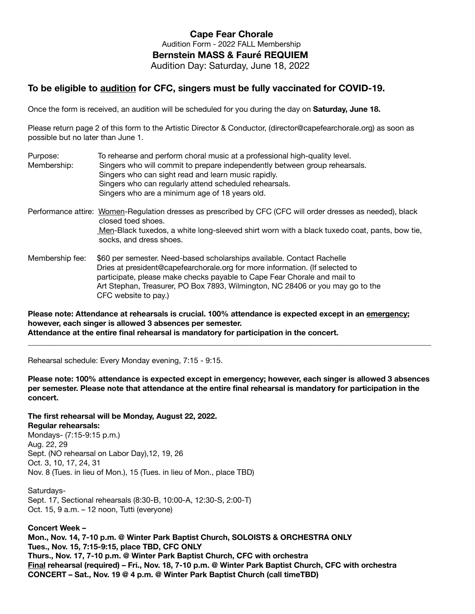## **Cape Fear Chorale**  Audition Form - 2022 FALL Membership **Bernstein MASS & Fauré REQUIEM**  Audition Day: Saturday, June 18, 2022

## **To be eligible to audition for CFC, singers must be fully vaccinated for COVID-19.**

Once the form is received, an audition will be scheduled for you during the day on **Saturday, June 18.** 

Please return page 2 of this form to the Artistic Director & Conductor, (director@capefearchorale.org) as soon as possible but no later than June 1.

- Purpose: To rehearse and perform choral music at a professional high-quality level. Membership: Singers who will commit to prepare independently between group rehearsals. Singers who can sight read and learn music rapidly. Singers who can regularly attend scheduled rehearsals. Singers who are a minimum age of 18 years old. Performance attire: Women-Regulation dresses as prescribed by CFC (CFC will order dresses as needed), black closed toed shoes. Men-Black tuxedos, a white long-sleeved shirt worn with a black tuxedo coat, pants, bow tie, socks, and dress shoes.
- Membership fee: \$60 per semester. Need-based scholarships available. Contact Rachelle Dries at president@capefearchorale.org for more information. (If selected to participate, please make checks payable to Cape Fear Chorale and mail to Art Stephan, Treasurer, PO Box 7893, Wilmington, NC 28406 or you may go to the CFC website to pay.)

**Please note: Attendance at rehearsals is crucial. 100% attendance is expected except in an emergency; however, each singer is allowed 3 absences per semester. Attendance at the entire final rehearsal is mandatory for participation in the concert.** 

Rehearsal schedule: Every Monday evening, 7:15 - 9:15.

**Please note: 100% attendance is expected except in emergency; however, each singer is allowed 3 absences per semester. Please note that attendance at the entire final rehearsal is mandatory for participation in the concert.** 

**\_\_\_\_\_\_\_\_\_\_\_\_\_\_\_\_\_\_\_\_\_\_\_\_\_\_\_\_\_\_\_\_\_\_\_\_\_\_\_\_\_\_\_\_\_\_\_\_\_\_\_\_\_\_\_\_\_\_\_\_\_\_\_\_\_\_\_\_\_\_\_\_\_\_\_\_\_\_\_\_\_\_\_\_\_\_\_\_\_\_\_\_\_\_\_\_\_\_\_\_\_\_\_\_** 

**The first rehearsal will be Monday, August 22, 2022.** 

**Regular rehearsals:** 

Mondays- (7:15-9:15 p.m.) Aug. 22, 29 Sept. (NO rehearsal on Labor Day),12, 19, 26 Oct. 3, 10, 17, 24, 31 Nov. 8 (Tues. in lieu of Mon.), 15 (Tues. in lieu of Mon., place TBD)

Saturdays-Sept. 17, Sectional rehearsals (8:30-B, 10:00-A, 12:30-S, 2:00-T) Oct. 15, 9 a.m. – 12 noon, Tutti (everyone)

**Concert Week –** 

**Mon., Nov. 14, 7-10 p.m. @ Winter Park Baptist Church, SOLOISTS & ORCHESTRA ONLY Tues., Nov. 15, 7:15-9:15, place TBD, CFC ONLY Thurs., Nov. 17, 7-10 p.m. @ Winter Park Baptist Church, CFC with orchestra Final rehearsal (required) – Fri., Nov. 18, 7-10 p.m. @ Winter Park Baptist Church, CFC with orchestra CONCERT – Sat., Nov. 19 @ 4 p.m. @ Winter Park Baptist Church (call timeTBD)**